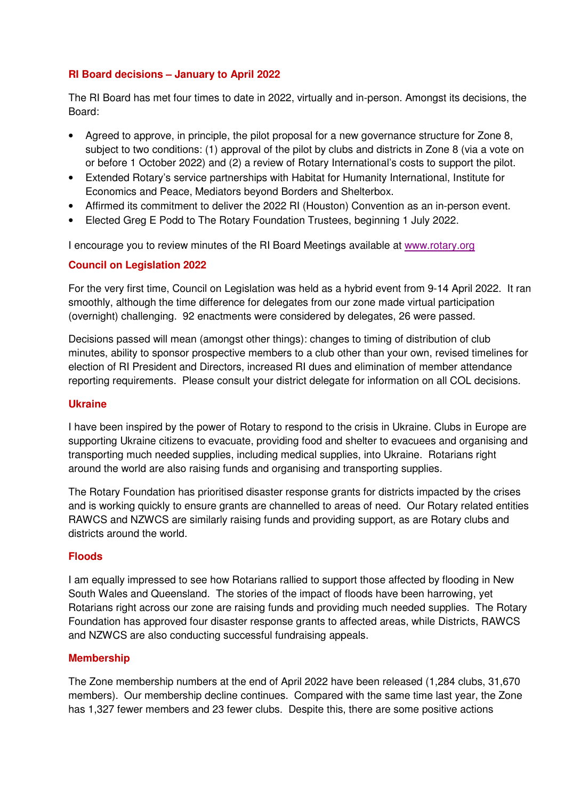## **RI Board decisions – January to April 2022**

The RI Board has met four times to date in 2022, virtually and in-person. Amongst its decisions, the Board:

- Agreed to approve, in principle, the pilot proposal for a new governance structure for Zone 8, subject to two conditions: (1) approval of the pilot by clubs and districts in Zone 8 (via a vote on or before 1 October 2022) and (2) a review of Rotary International's costs to support the pilot.
- Extended Rotary's service partnerships with Habitat for Humanity International, Institute for Economics and Peace, Mediators beyond Borders and Shelterbox.
- Affirmed its commitment to deliver the 2022 RI (Houston) Convention as an in-person event.
- Elected Greg E Podd to The Rotary Foundation Trustees, beginning 1 July 2022.

I encourage you to review minutes of the RI Board Meetings available at www.rotary.org

### **Council on Legislation 2022**

For the very first time, Council on Legislation was held as a hybrid event from 9-14 April 2022. It ran smoothly, although the time difference for delegates from our zone made virtual participation (overnight) challenging. 92 enactments were considered by delegates, 26 were passed.

Decisions passed will mean (amongst other things): changes to timing of distribution of club minutes, ability to sponsor prospective members to a club other than your own, revised timelines for election of RI President and Directors, increased RI dues and elimination of member attendance reporting requirements. Please consult your district delegate for information on all COL decisions.

### **Ukraine**

I have been inspired by the power of Rotary to respond to the crisis in Ukraine. Clubs in Europe are supporting Ukraine citizens to evacuate, providing food and shelter to evacuees and organising and transporting much needed supplies, including medical supplies, into Ukraine. Rotarians right around the world are also raising funds and organising and transporting supplies.

The Rotary Foundation has prioritised disaster response grants for districts impacted by the crises and is working quickly to ensure grants are channelled to areas of need. Our Rotary related entities RAWCS and NZWCS are similarly raising funds and providing support, as are Rotary clubs and districts around the world.

### **Floods**

I am equally impressed to see how Rotarians rallied to support those affected by flooding in New South Wales and Queensland. The stories of the impact of floods have been harrowing, yet Rotarians right across our zone are raising funds and providing much needed supplies. The Rotary Foundation has approved four disaster response grants to affected areas, while Districts, RAWCS and NZWCS are also conducting successful fundraising appeals.

### **Membership**

The Zone membership numbers at the end of April 2022 have been released (1,284 clubs, 31,670 members). Our membership decline continues. Compared with the same time last year, the Zone has 1,327 fewer members and 23 fewer clubs. Despite this, there are some positive actions